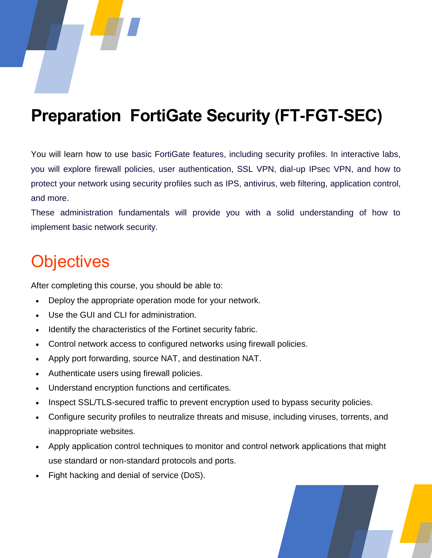## **Preparation FortiGate Security (FT-FGT-SEC)**

You will learn how to use basic FortiGate features, including security profiles. In interactive labs, you will explore firewall policies, user authentication, SSL VPN, dial-up IPsec VPN, and how to protect your network using security profiles such as IPS, antivirus, web filtering, application control, and more.

These administration fundamentals will provide you with a solid understanding of how to implement basic network security.

### **Objectives**

After completing this course, you should be able to:

- Deploy the appropriate operation mode for your network.
- Use the GUI and CLI for administration.
- Identify the characteristics of the Fortinet security fabric.
- Control network access to configured networks using firewall policies.
- Apply port forwarding, source NAT, and destination NAT.
- Authenticate users using firewall policies.
- Understand encryption functions and certificates.
- Inspect SSL/TLS-secured traffic to prevent encryption used to bypass security policies.
- Configure security profiles to neutralize threats and misuse, including viruses, torrents, and inappropriate websites.
- Apply application control techniques to monitor and control network applications that might use standard or non-standard protocols and ports.
- Fight hacking and denial of service (DoS).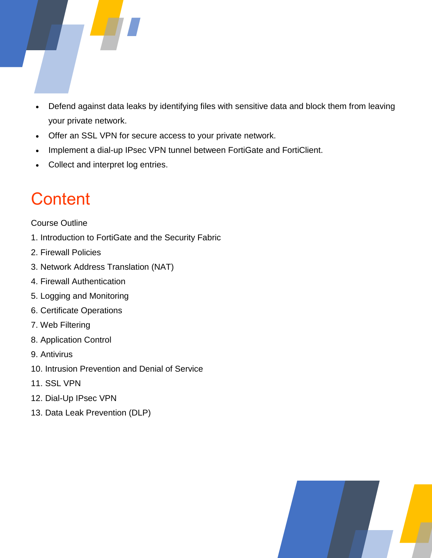

- Defend against data leaks by identifying files with sensitive data and block them from leaving your private network.
- Offer an SSL VPN for secure access to your private network.
- Implement a dial-up IPsec VPN tunnel between FortiGate and FortiClient.
- Collect and interpret log entries.

# **Content**

Course Outline

- 1. Introduction to FortiGate and the Security Fabric
- 2. Firewall Policies
- 3. Network Address Translation (NAT)
- 4. Firewall Authentication
- 5. Logging and Monitoring
- 6. Certificate Operations
- 7. Web Filtering
- 8. Application Control
- 9. Antivirus
- 10. Intrusion Prevention and Denial of Service
- 11. SSL VPN
- 12. Dial-Up IPsec VPN
- 13. Data Leak Prevention (DLP)